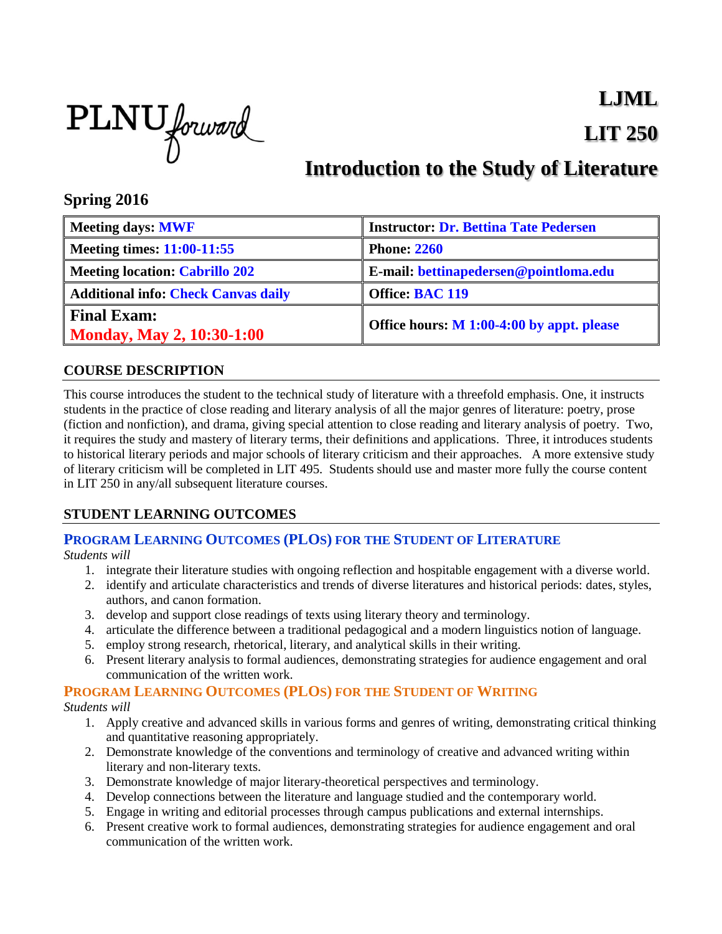

# **LJML LIT 250**

# **Introduction to the Study of Literature**

# **Spring 2016**

| <b>Meeting days: MWF</b>                        | <b>Instructor: Dr. Bettina Tate Pedersen</b> |
|-------------------------------------------------|----------------------------------------------|
| <b>Meeting times: 11:00-11:55</b>               | <b>Phone: 2260</b>                           |
| <b>Meeting location: Cabrillo 202</b>           | E-mail: bettinapedersen@pointloma.edu        |
| <b>Additional info: Check Canvas daily</b>      | Office: BAC 119                              |
| <b>Final Exam:</b><br>Monday, May 2, 10:30-1:00 | Office hours: M 1:00-4:00 by appt. please    |

# **COURSE DESCRIPTION**

This course introduces the student to the technical study of literature with a threefold emphasis. One, it instructs students in the practice of close reading and literary analysis of all the major genres of literature: poetry, prose (fiction and nonfiction), and drama, giving special attention to close reading and literary analysis of poetry. Two, it requires the study and mastery of literary terms, their definitions and applications. Three, it introduces students to historical literary periods and major schools of literary criticism and their approaches. A more extensive study of literary criticism will be completed in LIT 495. Students should use and master more fully the course content in LIT 250 in any/all subsequent literature courses.

# **STUDENT LEARNING OUTCOMES**

# **PROGRAM LEARNING OUTCOMES (PLOS) FOR THE STUDENT OF LITERATURE**

*Students will*

- 1. integrate their literature studies with ongoing reflection and hospitable engagement with a diverse world.
- 2. identify and articulate characteristics and trends of diverse literatures and historical periods: dates, styles, authors, and canon formation.
- 3. develop and support close readings of texts using literary theory and terminology.
- 4. articulate the difference between a traditional pedagogical and a modern linguistics notion of language.
- 5. employ strong research, rhetorical, literary, and analytical skills in their writing.
- 6. Present literary analysis to formal audiences, demonstrating strategies for audience engagement and oral communication of the written work.

# **PROGRAM LEARNING OUTCOMES (PLOS) FOR THE STUDENT OF WRITING**

*Students will*

- 1. Apply creative and advanced skills in various forms and genres of writing, demonstrating critical thinking and quantitative reasoning appropriately.
- 2. Demonstrate knowledge of the conventions and terminology of creative and advanced writing within literary and non-literary texts.
- 3. Demonstrate knowledge of major literary-theoretical perspectives and terminology.
- 4. Develop connections between the literature and language studied and the contemporary world.
- 5. Engage in writing and editorial processes through campus publications and external internships.
- 6. Present creative work to formal audiences, demonstrating strategies for audience engagement and oral communication of the written work.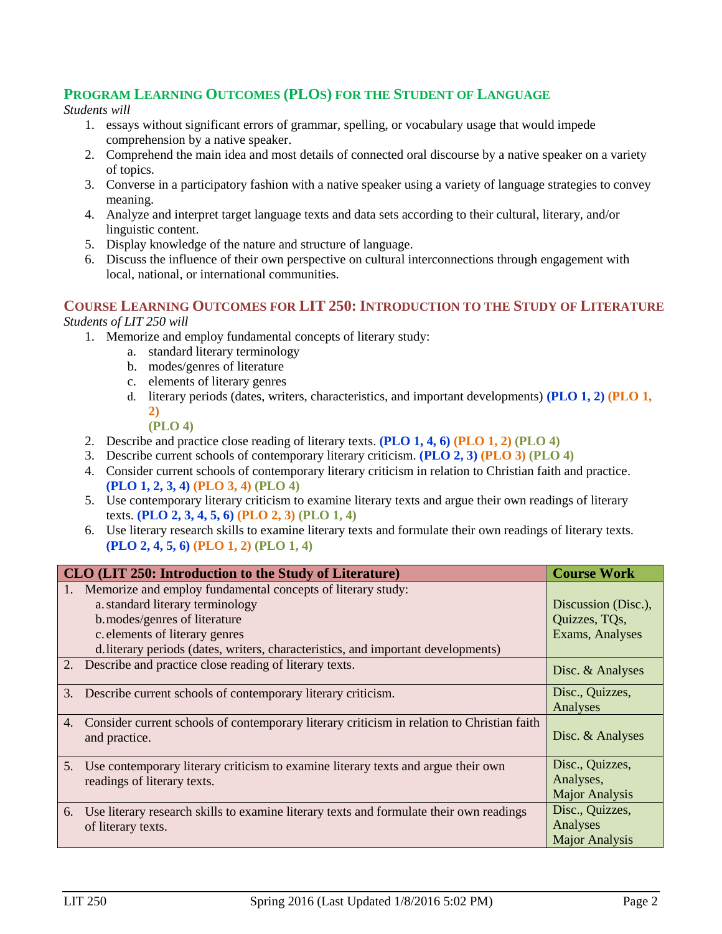# **PROGRAM LEARNING OUTCOMES (PLOS) FOR THE STUDENT OF LANGUAGE**

#### *Students will*

- 1. essays without significant errors of grammar, spelling, or vocabulary usage that would impede comprehension by a native speaker.
- 2. Comprehend the main idea and most details of connected oral discourse by a native speaker on a variety of topics.
- 3. Converse in a participatory fashion with a native speaker using a variety of language strategies to convey meaning.
- 4. Analyze and interpret target language texts and data sets according to their cultural, literary, and/or linguistic content.
- 5. Display knowledge of the nature and structure of language.
- 6. Discuss the influence of their own perspective on cultural interconnections through engagement with local, national, or international communities.

#### **COURSE LEARNING OUTCOMES FOR LIT 250: INTRODUCTION TO THE STUDY OF LITERATURE** *Students of LIT 250 will*

- 1. Memorize and employ fundamental concepts of literary study:
	- a. standard literary terminology
	- b. modes/genres of literature
	- c. elements of literary genres
	- d. literary periods (dates, writers, characteristics, and important developments) **(PLO 1, 2) (PLO 1, 2)**

#### **(PLO 4)**

- 2. Describe and practice close reading of literary texts. **(PLO 1, 4, 6) (PLO 1, 2) (PLO 4)**
- 3. Describe current schools of contemporary literary criticism. **(PLO 2, 3) (PLO 3) (PLO 4)**
- 4. Consider current schools of contemporary literary criticism in relation to Christian faith and practice. **(PLO 1, 2, 3, 4) (PLO 3, 4) (PLO 4)**
- 5. Use contemporary literary criticism to examine literary texts and argue their own readings of literary texts. **(PLO 2, 3, 4, 5, 6) (PLO 2, 3) (PLO 1, 4)**
- 6. Use literary research skills to examine literary texts and formulate their own readings of literary texts. **(PLO 2, 4, 5, 6) (PLO 1, 2) (PLO 1, 4)**

|    | CLO (LIT 250: Introduction to the Study of Literature)                                     | <b>Course Work</b>    |
|----|--------------------------------------------------------------------------------------------|-----------------------|
|    | Memorize and employ fundamental concepts of literary study:                                |                       |
|    | a. standard literary terminology                                                           | Discussion (Disc.),   |
|    | b.modes/genres of literature                                                               | Quizzes, TQs,         |
|    | c. elements of literary genres                                                             | Exams, Analyses       |
|    | d. literary periods (dates, writers, characteristics, and important developments)          |                       |
|    | 2. Describe and practice close reading of literary texts.                                  | Disc. & Analyses      |
| 3. | Describe current schools of contemporary literary criticism.                               | Disc., Quizzes,       |
|    |                                                                                            | Analyses              |
| 4. | Consider current schools of contemporary literary criticism in relation to Christian faith |                       |
|    | and practice.                                                                              | Disc. & Analyses      |
|    |                                                                                            |                       |
| 5. | Use contemporary literary criticism to examine literary texts and argue their own          | Disc., Quizzes,       |
|    | readings of literary texts.                                                                | Analyses,             |
|    |                                                                                            | <b>Major Analysis</b> |
| 6. | Use literary research skills to examine literary texts and formulate their own readings    | Disc., Quizzes,       |
|    | of literary texts.                                                                         | Analyses              |
|    |                                                                                            | <b>Major Analysis</b> |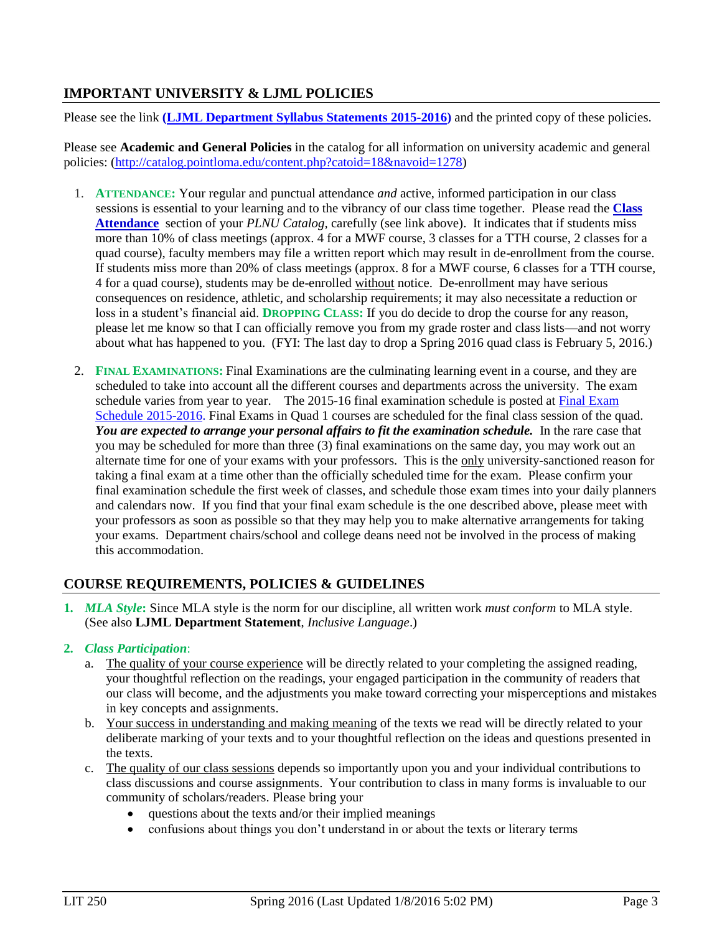# **IMPORTANT UNIVERSITY & LJML POLICIES**

Please see the link **(LJML [Department](http://www.pointloma.edu/sites/default/files/filemanager/Literature_Journalism__Modern_Languages/LJML_Department_Syllabus_Statments_final_2015-16.pdf) Syllabus Statements 2015-2016)** and the printed copy of these policies.

Please see **Academic and General Policies** in the catalog for all information on university academic and general policies: [\(http://catalog.pointloma.edu/content.php?catoid=18&navoid=1278\)](http://catalog.pointloma.edu/content.php?catoid=18&navoid=1278)

- 1. **ATTENDANCE:** Your regular and punctual attendance *and* active, informed participation in our class sessions is essential to your learning and to the vibrancy of our class time together. Please read the **[Class](http://catalog.pointloma.edu/content.php?catoid=14&navoid=1089#Class_Attendance)  [Attendance](http://catalog.pointloma.edu/content.php?catoid=14&navoid=1089#Class_Attendance)** section of your *PLNU Catalog,* carefully (see link above). It indicates that if students miss more than 10% of class meetings (approx. 4 for a MWF course, 3 classes for a TTH course, 2 classes for a quad course), faculty members may file a written report which may result in de-enrollment from the course. If students miss more than 20% of class meetings (approx. 8 for a MWF course, 6 classes for a TTH course, 4 for a quad course), students may be de-enrolled without notice. De-enrollment may have serious consequences on residence, athletic, and scholarship requirements; it may also necessitate a reduction or loss in a student's financial aid. **DROPPING CLASS:** If you do decide to drop the course for any reason, please let me know so that I can officially remove you from my grade roster and class lists—and not worry about what has happened to you. (FYI: The last day to drop a Spring 2016 quad class is February 5, 2016.)
- 2. **FINAL EXAMINATIONS:** Final Examinations are the culminating learning event in a course, and they are scheduled to take into account all the different courses and departments across the university. The exam schedule varies from year to year. The 2015-16 final examination schedule is posted at Final [Exam](http://www.pointloma.edu/sites/default/files/filemanager/Academic_Affairs/Schedules/Final_Exam_Schedule_2015-2016.pdf) Schedule [2015-2016.](http://www.pointloma.edu/sites/default/files/filemanager/Academic_Affairs/Schedules/Final_Exam_Schedule_2015-2016.pdf) Final Exams in Quad 1 courses are scheduled for the final class session of the quad. *You are expected to arrange your personal affairs to fit the examination schedule.* In the rare case that you may be scheduled for more than three (3) final examinations on the same day, you may work out an alternate time for one of your exams with your professors. This is the only university-sanctioned reason for taking a final exam at a time other than the officially scheduled time for the exam. Please confirm your final examination schedule the first week of classes, and schedule those exam times into your daily planners and calendars now. If you find that your final exam schedule is the one described above, please meet with your professors as soon as possible so that they may help you to make alternative arrangements for taking your exams. Department chairs/school and college deans need not be involved in the process of making this accommodation.

# **COURSE REQUIREMENTS, POLICIES & GUIDELINES**

**1.** *MLA Style***:** Since MLA style is the norm for our discipline, all written work *must conform* to MLA style. (See also **LJML Department Statement**, *Inclusive Language*.)

#### **2.** *Class Participation*:

- a. The quality of your course experience will be directly related to your completing the assigned reading, your thoughtful reflection on the readings, your engaged participation in the community of readers that our class will become, and the adjustments you make toward correcting your misperceptions and mistakes in key concepts and assignments.
- b. Your success in understanding and making meaning of the texts we read will be directly related to your deliberate marking of your texts and to your thoughtful reflection on the ideas and questions presented in the texts.
- c. The quality of our class sessions depends so importantly upon you and your individual contributions to class discussions and course assignments. Your contribution to class in many forms is invaluable to our community of scholars/readers. Please bring your
	- questions about the texts and/or their implied meanings
	- confusions about things you don't understand in or about the texts or literary terms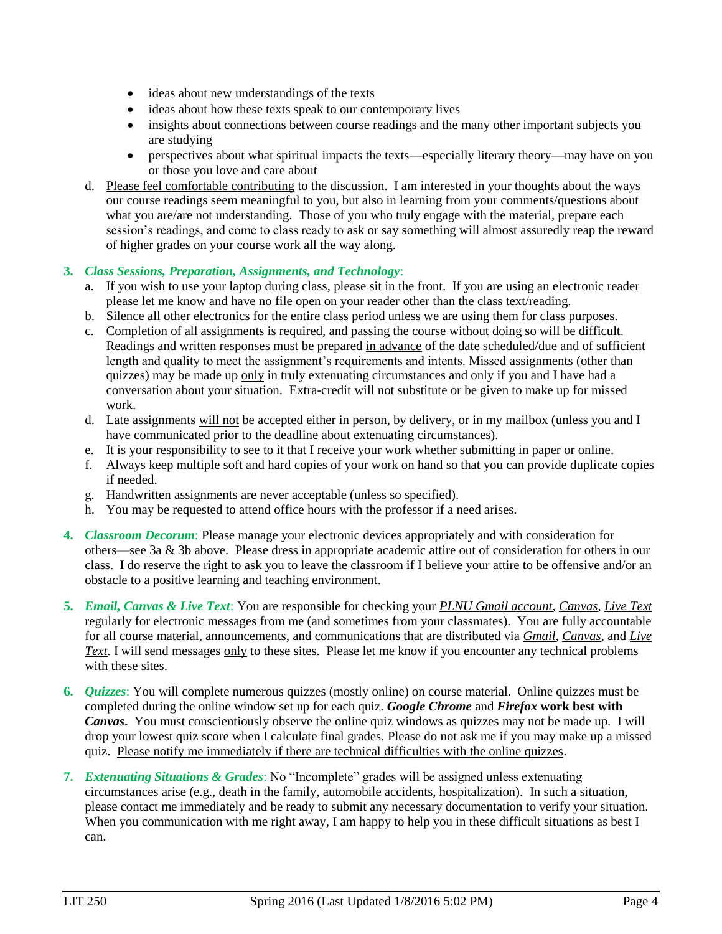- ideas about new understandings of the texts
- ideas about how these texts speak to our contemporary lives
- insights about connections between course readings and the many other important subjects you are studying
- perspectives about what spiritual impacts the texts—especially literary theory—may have on you or those you love and care about
- d. Please feel comfortable contributing to the discussion. I am interested in your thoughts about the ways our course readings seem meaningful to you, but also in learning from your comments/questions about what you are/are not understanding. Those of you who truly engage with the material, prepare each session's readings, and come to class ready to ask or say something will almost assuredly reap the reward of higher grades on your course work all the way along.

#### **3.** *Class Sessions, Preparation, Assignments, and Technology*:

- a. If you wish to use your laptop during class, please sit in the front. If you are using an electronic reader please let me know and have no file open on your reader other than the class text/reading.
- b. Silence all other electronics for the entire class period unless we are using them for class purposes.
- c. Completion of all assignments is required, and passing the course without doing so will be difficult. Readings and written responses must be prepared in advance of the date scheduled/due and of sufficient length and quality to meet the assignment's requirements and intents. Missed assignments (other than quizzes) may be made up only in truly extenuating circumstances and only if you and I have had a conversation about your situation. Extra-credit will not substitute or be given to make up for missed work.
- d. Late assignments will not be accepted either in person, by delivery, or in my mailbox (unless you and I have communicated prior to the deadline about extenuating circumstances).
- e. It is your responsibility to see to it that I receive your work whether submitting in paper or online.
- f. Always keep multiple soft and hard copies of your work on hand so that you can provide duplicate copies if needed.
- g. Handwritten assignments are never acceptable (unless so specified).
- h. You may be requested to attend office hours with the professor if a need arises.
- **4.** *Classroom Decorum*: Please manage your electronic devices appropriately and with consideration for others—see 3a & 3b above. Please dress in appropriate academic attire out of consideration for others in our class. I do reserve the right to ask you to leave the classroom if I believe your attire to be offensive and/or an obstacle to a positive learning and teaching environment.
- **5.** *Email, Canvas & Live Text*: You are responsible for checking your *PLNU Gmail account*, *Canvas*, *Live Text* regularly for electronic messages from me (and sometimes from your classmates). You are fully accountable for all course material, announcements, and communications that are distributed via *Gmail*, *Canvas*, and *Live Text*. I will send messages only to these sites. Please let me know if you encounter any technical problems with these sites.
- **6.** *Quizzes*: You will complete numerous quizzes (mostly online) on course material. Online quizzes must be completed during the online window set up for each quiz. *Google Chrome* and *Firefox* **work best with**  *Canvas***.** You must conscientiously observe the online quiz windows as quizzes may not be made up. I will drop your lowest quiz score when I calculate final grades. Please do not ask me if you may make up a missed quiz. Please notify me immediately if there are technical difficulties with the online quizzes.
- **7.** *Extenuating Situations & Grades*: No "Incomplete" grades will be assigned unless extenuating circumstances arise (e.g., death in the family, automobile accidents, hospitalization). In such a situation, please contact me immediately and be ready to submit any necessary documentation to verify your situation. When you communication with me right away, I am happy to help you in these difficult situations as best I can.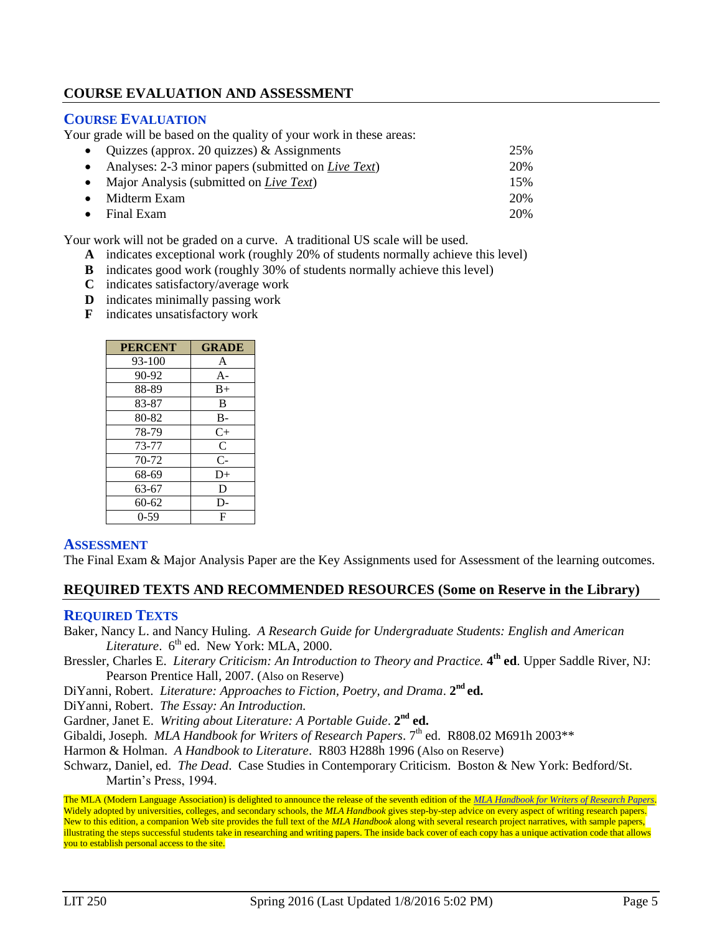# **COURSE EVALUATION AND ASSESSMENT**

#### **COURSE EVALUATION**

Your grade will be based on the quality of your work in these areas:

 Quizzes (approx. 20 quizzes) & Assignments 25% Analyses: 2-3 minor papers (submitted on *Live Text*) 20% • Major Analysis (submitted on *Live Text*) 15% Midterm Exam 20% Final Exam 20%

Your work will not be graded on a curve. A traditional US scale will be used.

- **A** indicates exceptional work (roughly 20% of students normally achieve this level)
- **B** indicates good work (roughly 30% of students normally achieve this level)
- **C** indicates satisfactory/average work
- **D** indicates minimally passing work
- **F** indicates unsatisfactory work

| <b>PERCENT</b> | <b>GRADE</b> |
|----------------|--------------|
| $93 - 100$     | A            |
| 90-92          | $A-$         |
| 88-89          | $B+$         |
| 83-87          | B            |
| 80-82          | $B -$        |
| 78-79          | $C+$         |
| 73-77          | $\mathsf{C}$ |
| 70-72          | $C-$         |
| 68-69          | D+           |
| 63-67          | D            |
| 60-62          | D-           |
| $0-59$         | F            |

#### **ASSESSMENT**

The Final Exam & Major Analysis Paper are the Key Assignments used for Assessment of the learning outcomes.

#### **REQUIRED TEXTS AND RECOMMENDED RESOURCES (Some on Reserve in the Library)**

#### **REQUIRED TEXTS**

Baker, Nancy L. and Nancy Huling. *A Research Guide for Undergraduate Students: English and American*  Literature. 6<sup>th</sup> ed. New York: MLA, 2000.

- Bressler, Charles E. *Literary Criticism: An Introduction to Theory and Practice.* **4 th ed**. Upper Saddle River, NJ: Pearson Prentice Hall, 2007. (Also on Reserve)
- DiYanni, Robert. *Literature: Approaches to Fiction, Poetry, and Drama.* 2<sup>nd</sup> ed.

DiYanni, Robert. *The Essay: An Introduction.*

Gardner, Janet E. Writing about Literature: A Portable Guide. 2<sup>nd</sup> ed.

Gibaldi, Joseph. *MLA Handbook for Writers of Research Papers*. 7<sup>th</sup> ed. R808.02 M691h 2003\*\*

Harmon & Holman. *A Handbook to Literature*. R803 H288h 1996 (Also on Reserve)

Schwarz, Daniel, ed. *The Dead*. Case Studies in Contemporary Criticism. Boston & New York: Bedford/St. Martin's Press, 1994.

The MLA (Modern Language Association) is delighted to announce the release of the seventh edition of the *[MLA Handbook for Writers of Research Papers](http://rs6.net/tn.jsp?et=1102498509993&e=001aMRWRFrWDf_MyMO1r3Go_RN6FVZ0rqshJ1QlQ2GOIA82Dz962AQtUCOmn1q7CBsjwCkq3uvXwr6KZGMCDEH3OlIvyLB36MlvkDsd5Y4pIs4dUJubkOGARgex4O032Sjsi6R8JRKWKLc=)*. Widely adopted by universities, colleges, and secondary schools, the *MLA Handbook* gives step-by-step advice on every aspect of writing research papers. New to this edition, a companion Web site provides the full text of the *MLA Handbook* along with several research project narratives, with sample papers, illustrating the steps successful students take in researching and writing papers. The inside back cover of each copy has a unique activation code that allows you to establish personal access to the site.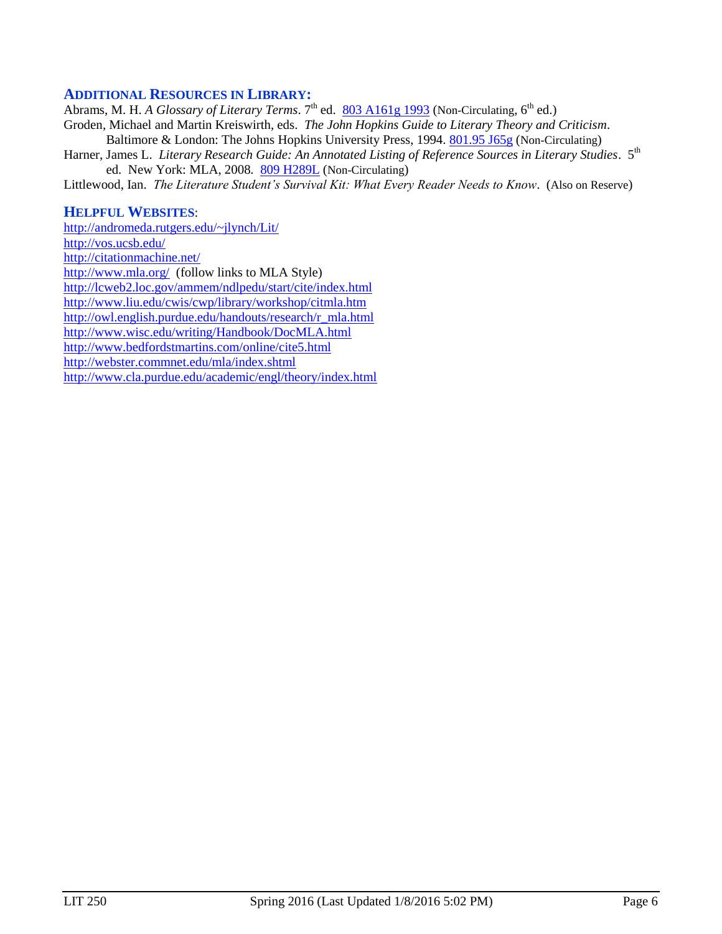### **ADDITIONAL RESOURCES IN LIBRARY:**

Abrams, M. H. *A Glossary of Literary Terms*. 7<sup>th</sup> ed. [803 A161g 1993](http://phineas.pointloma.edu/search~S0?/c803+A161g+1993/c803+a161g+1993/-3,-1,,E/browse) (Non-Circulating, 6<sup>th</sup> ed.)

Groden, Michael and Martin Kreiswirth, eds. *The John Hopkins Guide to Literary Theory and Criticism*. Baltimore & London: The Johns Hopkins University Press, 1994. [801.95 J65g](http://phineas.pointloma.edu/search~S0?/c801.95+J65g/c801.95+j65g/-3,-1,,E/browse) (Non-Circulating)

Harner, James L. *Literary Research Guide: An Annotated Listing of Reference Sources in Literary Studies*. 5<sup>th</sup> ed. New York: MLA, 2008. [809 H289L](http://phineas.pointloma.edu/search~S0?/c809+H289L/c809+h289l/-3,-1,,E/browse) (Non-Circulating)

Littlewood, Ian. *The Literature Student's Survival Kit: What Every Reader Needs to Know*. (Also on Reserve)

#### **HELPFUL WEBSITES**:

<http://andromeda.rutgers.edu/~jlynch/Lit/> <http://vos.ucsb.edu/> <http://citationmachine.net/> <http://www.mla.org/>(follow links to MLA Style) <http://lcweb2.loc.gov/ammem/ndlpedu/start/cite/index.html> <http://www.liu.edu/cwis/cwp/library/workshop/citmla.htm> [http://owl.english.purdue.edu/handouts/research/r\\_mla.html](http://owl.english.purdue.edu/handouts/research/r_mla.html) <http://www.wisc.edu/writing/Handbook/DocMLA.html> <http://www.bedfordstmartins.com/online/cite5.html> <http://webster.commnet.edu/mla/index.shtml> <http://www.cla.purdue.edu/academic/engl/theory/index.html>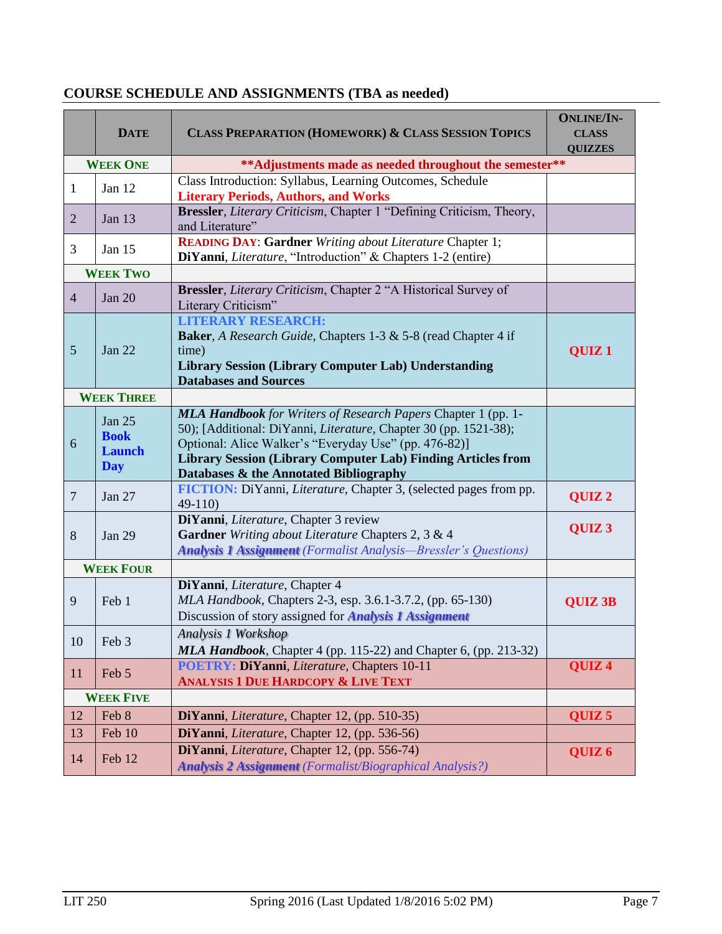|                   | <b>DATE</b>                                                                | <b>CLASS PREPARATION (HOMEWORK) &amp; CLASS SESSION TOPICS</b>                                                                                                                                                                                                                                                             | <b>ONLINE/IN-</b><br><b>CLASS</b><br><b>QUIZZES</b> |
|-------------------|----------------------------------------------------------------------------|----------------------------------------------------------------------------------------------------------------------------------------------------------------------------------------------------------------------------------------------------------------------------------------------------------------------------|-----------------------------------------------------|
|                   | ** Adjustments made as needed throughout the semester**<br><b>WEEK ONE</b> |                                                                                                                                                                                                                                                                                                                            |                                                     |
| $\mathbf{1}$      | Jan 12                                                                     | Class Introduction: Syllabus, Learning Outcomes, Schedule<br><b>Literary Periods, Authors, and Works</b>                                                                                                                                                                                                                   |                                                     |
| $\overline{2}$    | Jan 13                                                                     | Bressler, Literary Criticism, Chapter 1 "Defining Criticism, Theory,<br>and Literature"                                                                                                                                                                                                                                    |                                                     |
| 3                 | Jan $15$                                                                   | <b>READING DAY: Gardner</b> Writing about Literature Chapter 1;<br>DiYanni, <i>Literature</i> , "Introduction" & Chapters 1-2 (entire)                                                                                                                                                                                     |                                                     |
|                   | <b>WEEK TWO</b>                                                            |                                                                                                                                                                                                                                                                                                                            |                                                     |
| $\overline{4}$    | Jan $20$                                                                   | Bressler, Literary Criticism, Chapter 2 "A Historical Survey of<br>Literary Criticism"                                                                                                                                                                                                                                     |                                                     |
| 5                 | <b>Jan 22</b>                                                              | <b>LITERARY RESEARCH:</b><br><b>Baker</b> , A Research Guide, Chapters 1-3 & 5-8 (read Chapter 4 if<br>time)<br><b>Library Session (Library Computer Lab) Understanding</b><br><b>Databases and Sources</b>                                                                                                                | <b>OUIZ1</b>                                        |
| <b>WEEK THREE</b> |                                                                            |                                                                                                                                                                                                                                                                                                                            |                                                     |
| 6                 | Jan $25$<br><b>Book</b><br><b>Launch</b><br><b>Day</b>                     | <b>MLA Handbook</b> for Writers of Research Papers Chapter 1 (pp. 1-<br>50); [Additional: DiYanni, <i>Literature</i> , Chapter 30 (pp. 1521-38);<br>Optional: Alice Walker's "Everyday Use" (pp. 476-82)]<br><b>Library Session (Library Computer Lab) Finding Articles from</b><br>Databases & the Annotated Bibliography |                                                     |
| $\overline{7}$    | Jan 27                                                                     | FICTION: DiYanni, Literature, Chapter 3, (selected pages from pp.<br>$49-110$                                                                                                                                                                                                                                              | QUIZ <sub>2</sub>                                   |
| 8                 | <b>Jan 29</b>                                                              | DiYanni, Literature, Chapter 3 review<br>Gardner Writing about Literature Chapters 2, 3 & 4<br><b>Analysis 1 Assignment</b> (Formalist Analysis—Bressler's Questions)                                                                                                                                                      | QUIZ <sub>3</sub>                                   |
| <b>WEEK FOUR</b>  |                                                                            |                                                                                                                                                                                                                                                                                                                            |                                                     |
| 9                 | Feb 1                                                                      | DiYanni, Literature, Chapter 4<br>MLA Handbook, Chapters 2-3, esp. 3.6.1-3.7.2, (pp. 65-130)<br>Discussion of story assigned for <b>Analysis 1 Assignment</b>                                                                                                                                                              | <b>QUIZ 3B</b>                                      |
| 10                | Feb 3                                                                      | Analysis 1 Workshop<br>MLA Handbook, Chapter 4 (pp. 115-22) and Chapter 6, (pp. 213-32)                                                                                                                                                                                                                                    |                                                     |
| <sup>11</sup>     | Feb 5                                                                      | POETRY: DiYanni, Literature, Chapters 10-11<br><b>ANALYSIS 1 DUE HARDCOPY &amp; LIVE TEXT</b>                                                                                                                                                                                                                              | QUIZ <sub>4</sub>                                   |
| <b>WEEK FIVE</b>  |                                                                            |                                                                                                                                                                                                                                                                                                                            |                                                     |
| 12                | Feb 8                                                                      | DiYanni, <i>Literature</i> , Chapter 12, (pp. 510-35)                                                                                                                                                                                                                                                                      | QUIZ <sub>5</sub>                                   |
| 13                | Feb 10                                                                     | DiYanni, Literature, Chapter 12, (pp. 536-56)                                                                                                                                                                                                                                                                              |                                                     |
| 14                | Feb 12                                                                     | DiYanni, Literature, Chapter 12, (pp. 556-74)<br><b>Analysis 2 Assignment</b> (Formalist/Biographical Analysis?)                                                                                                                                                                                                           | QUIZ <sub>6</sub>                                   |

# **COURSE SCHEDULE AND ASSIGNMENTS (TBA as needed)**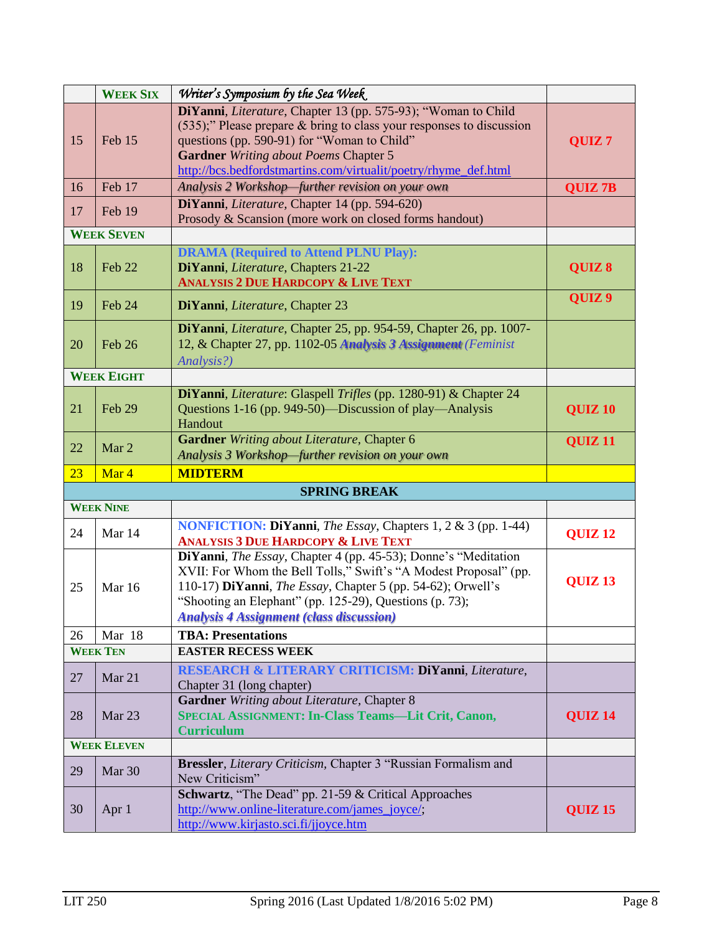|                                              | <b>WEEK SIX</b>    | Writer's Symposium by the Sea Week                                                                                                                                                                                                                                                                                      |                    |
|----------------------------------------------|--------------------|-------------------------------------------------------------------------------------------------------------------------------------------------------------------------------------------------------------------------------------------------------------------------------------------------------------------------|--------------------|
| 15                                           | Feb 15             | DiYanni, Literature, Chapter 13 (pp. 575-93); "Woman to Child<br>(535);" Please prepare & bring to class your responses to discussion<br>questions (pp. 590-91) for "Woman to Child"<br><b>Gardner</b> Writing about Poems Chapter 5<br>http://bcs.bedfordstmartins.com/virtualit/poetry/rhyme_def.html                 | QUIZ <sub>7</sub>  |
| 16                                           | Feb 17             | Analysis 2 Workshop-further revision on your own                                                                                                                                                                                                                                                                        | <b>QUIZ 7B</b>     |
| 17                                           | Feb 19             | DiYanni, Literature, Chapter 14 (pp. 594-620)<br>Prosody & Scansion (more work on closed forms handout)                                                                                                                                                                                                                 |                    |
|                                              | <b>WEEK SEVEN</b>  |                                                                                                                                                                                                                                                                                                                         |                    |
| 18                                           | Feb 22             | <b>DRAMA</b> (Required to Attend PLNU Play):<br>DiYanni, Literature, Chapters 21-22<br><b>ANALYSIS 2 DUE HARDCOPY &amp; LIVE TEXT</b>                                                                                                                                                                                   | QUIZ 8             |
| 19                                           | Feb 24             | DiYanni, Literature, Chapter 23                                                                                                                                                                                                                                                                                         | QUIZ <sub>9</sub>  |
| 20                                           | Feb 26             | DiYanni, Literature, Chapter 25, pp. 954-59, Chapter 26, pp. 1007-<br>12, & Chapter 27, pp. 1102-05 Analysis 3 Assignment (Feminist)<br>Analysis?)                                                                                                                                                                      |                    |
|                                              | <b>WEEK EIGHT</b>  |                                                                                                                                                                                                                                                                                                                         |                    |
| 21                                           | Feb 29             | DiYanni, Literature: Glaspell Trifles (pp. 1280-91) & Chapter 24<br>Questions 1-16 (pp. 949-50)—Discussion of play—Analysis<br>Handout                                                                                                                                                                                  | <b>QUIZ 10</b>     |
| 22                                           | Mar <sub>2</sub>   | Gardner Writing about Literature, Chapter 6<br>Analysis 3 Workshop-further revision on your own                                                                                                                                                                                                                         | QUIZ <sub>11</sub> |
| 23                                           | Mar 4              | <b>MIDTERM</b>                                                                                                                                                                                                                                                                                                          |                    |
|                                              |                    | <b>SPRING BREAK</b>                                                                                                                                                                                                                                                                                                     |                    |
|                                              | <b>WEEK NINE</b>   |                                                                                                                                                                                                                                                                                                                         |                    |
| 24                                           | Mar 14             | <b>NONFICTION: DiYanni</b> , <i>The Essay</i> , Chapters 1, 2 & 3 (pp. 1-44)<br><b>ANALYSIS 3 DUE HARDCOPY &amp; LIVE TEXT</b>                                                                                                                                                                                          | QUIZ <sub>12</sub> |
| 25                                           | Mar 16             | DiYanni, <i>The Essay</i> , Chapter 4 (pp. 45-53); Donne's "Meditation<br>XVII: For Whom the Bell Tolls," Swift's "A Modest Proposal" (pp.<br>110-17) DiYanni, The Essay, Chapter 5 (pp. 54-62); Orwell's<br>"Shooting an Elephant" (pp. 125-29), Questions (p. 73);<br><b>Analysis 4 Assignment (class discussion)</b> | <b>QUIZ 13</b>     |
| 26                                           | Mar 18             | <b>TBA: Presentations</b>                                                                                                                                                                                                                                                                                               |                    |
| <b>WEEK TEN</b><br><b>EASTER RECESS WEEK</b> |                    |                                                                                                                                                                                                                                                                                                                         |                    |
| 27                                           | Mar 21             | RESEARCH & LITERARY CRITICISM: DiYanni, Literature,<br>Chapter 31 (long chapter)                                                                                                                                                                                                                                        |                    |
| 28                                           | Mar 23             | Gardner Writing about Literature, Chapter 8<br>SPECIAL ASSIGNMENT: In-Class Teams-Lit Crit, Canon,<br><b>Curriculum</b>                                                                                                                                                                                                 | QUIZ <sub>14</sub> |
|                                              | <b>WEEK ELEVEN</b> |                                                                                                                                                                                                                                                                                                                         |                    |
| 29                                           | Mar 30             | Bressler, Literary Criticism, Chapter 3 "Russian Formalism and<br>New Criticism"                                                                                                                                                                                                                                        |                    |
| 30                                           | Apr 1              | <b>Schwartz</b> , "The Dead" pp. 21-59 & Critical Approaches<br>http://www.online-literature.com/james_joyce/;<br>http://www.kirjasto.sci.fi/jjoyce.htm                                                                                                                                                                 | <b>QUIZ 15</b>     |